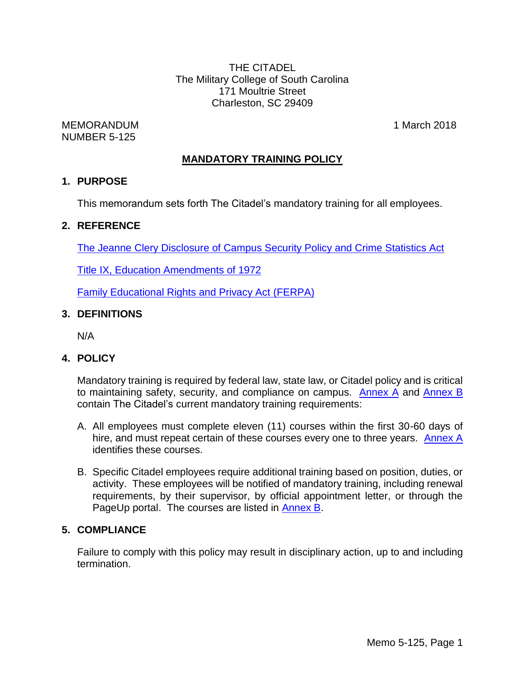THE CITADEL The Military College of South Carolina 171 Moultrie Street Charleston, SC 29409

MEMORANDUM 1 March 2018 NUMBER 5-125

# **MANDATORY TRAINING POLICY**

## **1. PURPOSE**

This memorandum sets forth The Citadel's mandatory training for all employees.

## **2. REFERENCE**

The Jeanne [Clery Disclosure of Campus Security Policy and Crime Statistics Act](http://clerycenter.org/jeanne-clery-act)

[Title IX, Education Amendments of 1972](http://www.justice.gov/crt/about/cor/coord/titleix.php)

[Family Educational Rights and Privacy Act](http://www2.ed.gov/policy/gen/guid/fpco/ferpa/index.html) (FERPA)

## **3. DEFINITIONS**

N/A

# **4. POLICY**

Mandatory training is required by federal law, state law, or Citadel policy and is critical to maintaining safety, security, and compliance on campus. [Annex A](#page-2-0) and [Annex B](#page-3-0) contain The Citadel's current mandatory training requirements:

- A. All employees must complete eleven (11) courses within the first 30-60 days of hire, and must repeat certain of these courses every one to three years. [Annex A](#page-2-0) identifies these courses.
- B. Specific Citadel employees require additional training based on position, duties, or activity. These employees will be notified of mandatory training, including renewal requirements, by their supervisor, by official appointment letter, or through the PageUp portal. The courses are listed in **Annex B**.

# **5. COMPLIANCE**

Failure to comply with this policy may result in disciplinary action, up to and including termination.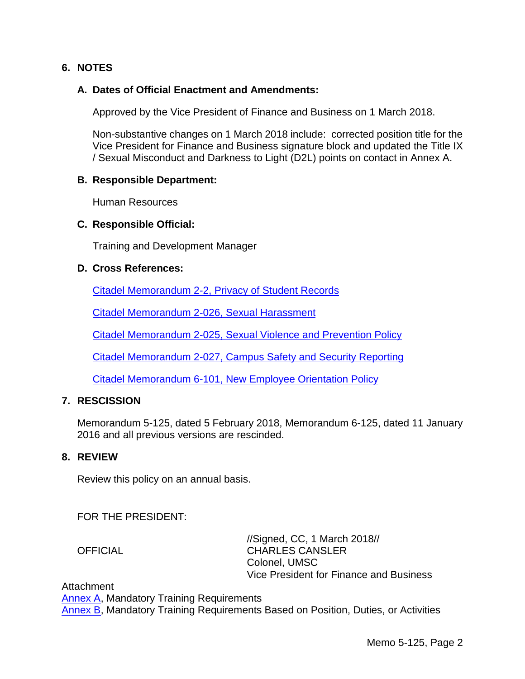## **6. NOTES**

#### **A. Dates of Official Enactment and Amendments:**

Approved by the Vice President of Finance and Business on 1 March 2018.

Non-substantive changes on 1 March 2018 include: corrected position title for the Vice President for Finance and Business signature block and updated the Title IX / Sexual Misconduct and Darkness to Light (D2L) points on contact in Annex A.

#### **B. Responsible Department:**

Human Resources

#### **C. Responsible Official:**

Training and Development Manager

#### **D. Cross References:**

[Citadel Memorandum 2-2, Privacy of Student Records](http://www.citadel.edu/root/images/policies/5-506-privacy-of-student-records.pdf)

[Citadel Memorandum 2-026, Sexual Harassment](http://www.citadel.edu/root/images/policies/2-026-sexual-harassment-policy.pdf)

[Citadel Memorandum 2-025, Sexual Violence and Prevention Policy](http://www.citadel.edu/root/images/policies/2-025-sexual-violence-prevention-and-response-policy.pdf)

[Citadel Memorandum 2-027, Campus Safety and Security Reporting](http://www.citadel.edu/root/images/policies/6-307-campus-safety-and-security-reporting.pdf)

[Citadel Memorandum 6-101, New Employee Orientation Policy](http://www.citadel.edu/root/images/policies/6-101-new-employee-orientation.pdf)

## **7. RESCISSION**

Memorandum 5-125, dated 5 February 2018, Memorandum 6-125, dated 11 January 2016 and all previous versions are rescinded.

### **8. REVIEW**

Review this policy on an annual basis.

FOR THE PRESIDENT:

//Signed, CC, 1 March 2018// OFFICIAL CHARLES CANSLER Colonel, UMSC Vice President for Finance and Business

**Attachment** 

**[Annex A,](#page-2-0) Mandatory Training Requirements** [Annex B,](#page-3-0) Mandatory Training Requirements Based on Position, Duties, or Activities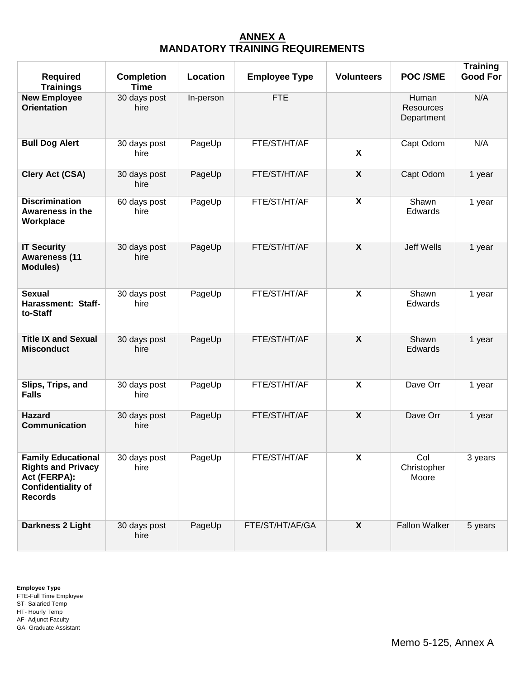## **ANNEX A MANDATORY TRAINING REQUIREMENTS**

<span id="page-2-0"></span>

| <b>Required</b><br><b>Trainings</b>                                                                                   | <b>Completion</b><br><b>Time</b> | Location  | <b>Employee Type</b> | <b>Volunteers</b> | <b>POC/SME</b>                          | <b>Training</b><br><b>Good For</b> |
|-----------------------------------------------------------------------------------------------------------------------|----------------------------------|-----------|----------------------|-------------------|-----------------------------------------|------------------------------------|
| <b>New Employee</b><br><b>Orientation</b>                                                                             | 30 days post<br>hire             | In-person | <b>FTE</b>           |                   | Human<br><b>Resources</b><br>Department | N/A                                |
| <b>Bull Dog Alert</b>                                                                                                 | 30 days post<br>hire             | PageUp    | FTE/ST/HT/AF         | X                 | Capt Odom                               | N/A                                |
| Clery Act (CSA)                                                                                                       | 30 days post<br>hire             | PageUp    | FTE/ST/HT/AF         | X                 | Capt Odom                               | 1 year                             |
| <b>Discrimination</b><br><b>Awareness in the</b><br>Workplace                                                         | 60 days post<br>hire             | PageUp    | FTE/ST/HT/AF         | X                 | Shawn<br>Edwards                        | 1 year                             |
| <b>IT Security</b><br><b>Awareness (11</b><br><b>Modules)</b>                                                         | 30 days post<br>hire             | PageUp    | FTE/ST/HT/AF         | $\boldsymbol{X}$  | Jeff Wells                              | 1 year                             |
| <b>Sexual</b><br>Harassment: Staff-<br>to-Staff                                                                       | 30 days post<br>hire             | PageUp    | FTE/ST/HT/AF         | X                 | Shawn<br>Edwards                        | 1 year                             |
| <b>Title IX and Sexual</b><br><b>Misconduct</b>                                                                       | 30 days post<br>hire             | PageUp    | FTE/ST/HT/AF         | $\boldsymbol{X}$  | Shawn<br>Edwards                        | 1 year                             |
| Slips, Trips, and<br><b>Falls</b>                                                                                     | 30 days post<br>hire             | PageUp    | FTE/ST/HT/AF         | X                 | Dave Orr                                | 1 year                             |
| <b>Hazard</b><br>Communication                                                                                        | 30 days post<br>hire             | PageUp    | FTE/ST/HT/AF         | $\boldsymbol{X}$  | Dave Orr                                | 1 year                             |
| <b>Family Educational</b><br><b>Rights and Privacy</b><br>Act (FERPA):<br><b>Confidentiality of</b><br><b>Records</b> | 30 days post<br>hire             | PageUp    | FTE/ST/HT/AF         | X                 | Col<br>Christopher<br>Moore             | 3 years                            |
| Darkness 2 Light                                                                                                      | 30 days post<br>hire             | PageUp    | FTE/ST/HT/AF/GA      | X                 | <b>Fallon Walker</b>                    | 5 years                            |

**Employee Type** FTE-Full Time Employee ST- Salaried Temp HT- Hourly Temp AF- Adjunct Faculty GA- Graduate Assistant